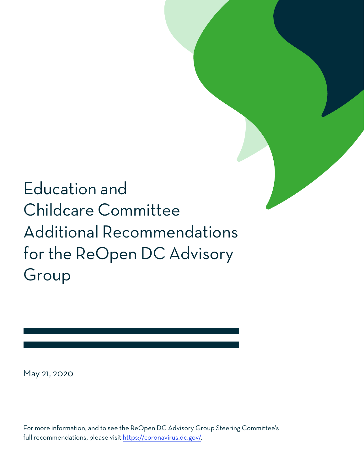# Education and Childcare Committee Additional Recommendations for the ReOpen DC Advisory Group

May 21, 2020

For more information, and to see the ReOpen DC Advisory Group Steering Committee's full recommendations, please visit https://coronavirus.dc.gov/.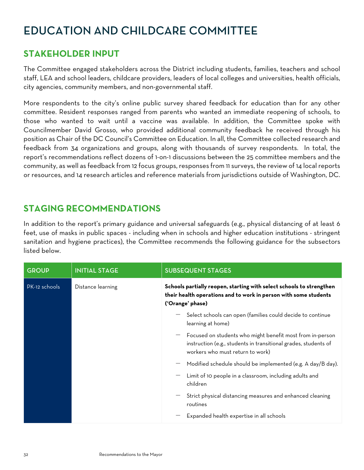# EDUCATION AND CHILDCARE COMMITTEE

#### **STAKEHOLDER INPUT**

The Committee engaged stakeholders across the District including students, families, teachers and school staff, LEA and school leaders, childcare providers, leaders of local colleges and universities, health officials, city agencies, community members, and non-governmental staff.

More respondents to the city's online public survey shared feedback for education than for any other committee. Resident responses ranged from parents who wanted an immediate reopening of schools, to those who wanted to wait until a vaccine was available. In addition, the Committee spoke with Councilmember David Grosso, who provided additional community feedback he received through his position as Chair of the DC Council's Committee on Education. In all, the Committee collected research and feedback from 34 organizations and groups, along with thousands of survey respondents. In total, the report's recommendations reflect dozens of 1-on-1 discussions between the 25 committee members and the community, as well as feedback from 12 focus groups, responses from 11 surveys, the review of 14 local reports or resources, and 14 research articles and reference materials from jurisdictions outside of Washington, DC.

# **STAGING RECOMMENDATIONS**

In addition to the report's primary guidance and universal safeguards (e.g., physical distancing of at least 6 feet, use of masks in public spaces - including when in schools and higher education institutions - stringent sanitation and hygiene practices), the Committee recommends the following guidance for the subsectors listed below.

| <b>GROUP</b>  | <b>INITIAL STAGE</b> | <b>SUBSEQUENT STAGES</b>                                                                                                                                         |
|---------------|----------------------|------------------------------------------------------------------------------------------------------------------------------------------------------------------|
| PK-12 schools | Distance learning    | Schools partially reopen, starting with select schools to strengthen<br>their health operations and to work in person with some students<br>('Orange' phase)     |
|               |                      | Select schools can open (families could decide to continue<br>learning at home)                                                                                  |
|               |                      | Focused on students who might benefit most from in-person<br>instruction (e.g., students in transitional grades, students of<br>workers who must return to work) |
|               |                      | Modified schedule should be implemented (e.g. A day/B day).                                                                                                      |
|               |                      | Limit of 10 people in a classroom, including adults and<br>children                                                                                              |
|               |                      | Strict physical distancing measures and enhanced cleaning<br>routines                                                                                            |
|               |                      | Expanded health expertise in all schools                                                                                                                         |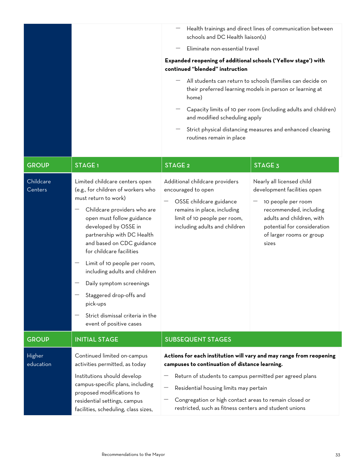| for childcare facilities<br>Limit of 10 people per room,<br>including adults and children<br>Daily symptom screenings<br>Staggered drop-offs and<br>pick-ups<br>Strict dismissal criteria in the<br>event of positive cases<br><b>INITIAL STAGE</b><br><b>GROUP</b> | <b>SUBSEQUENT STAGES</b>                                                                                                                                                                                                                                        |                                                                                                                                                                                                                                                                                                                                       |
|---------------------------------------------------------------------------------------------------------------------------------------------------------------------------------------------------------------------------------------------------------------------|-----------------------------------------------------------------------------------------------------------------------------------------------------------------------------------------------------------------------------------------------------------------|---------------------------------------------------------------------------------------------------------------------------------------------------------------------------------------------------------------------------------------------------------------------------------------------------------------------------------------|
|                                                                                                                                                                                                                                                                     |                                                                                                                                                                                                                                                                 |                                                                                                                                                                                                                                                                                                                                       |
| Childcare<br>Limited childcare centers open<br>(e.g., for children of workers who<br>Centers<br>must return to work)<br>Childcare providers who are<br>open must follow guidance<br>developed by OSSE in<br>partnership with DC Health<br>and based on CDC guidance | Additional childcare providers<br>encouraged to open<br>OSSE childcare guidance<br>remains in place, including<br>limit of 10 people per room,<br>including adults and children                                                                                 | Nearly all licensed child<br>development facilities open<br>10 people per room<br>recommended, including<br>adults and children, with<br>potential for consideration<br>of larger rooms or group<br>sizes                                                                                                                             |
| <b>STAGE1</b><br><b>GROUP</b>                                                                                                                                                                                                                                       | schools and DC Health liaison(s)<br>Eliminate non-essential travel<br>Expanded reopening of additional schools ('Yellow stage') with<br>continued "blended" instruction<br>home)<br>and modified scheduling apply<br>routines remain in place<br><b>STAGE 2</b> | Health trainings and direct lines of communication between<br>All students can return to schools (families can decide on<br>their preferred learning models in person or learning at<br>Capacity limits of 10 per room (including adults and children)<br>Strict physical distancing measures and enhanced cleaning<br><b>STAGE 3</b> |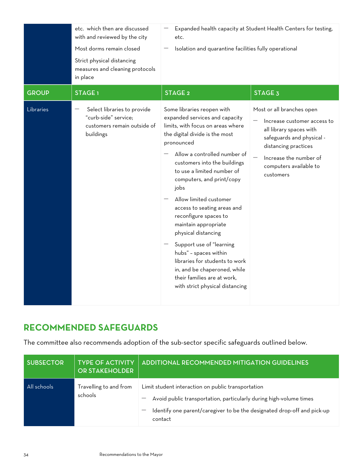| <b>GROUP</b> | etc. which then are discussed<br>with and reviewed by the city<br>Most dorms remain closed<br>Strict physical distancing<br>measures and cleaning protocols<br>in place<br><b>STAGE1</b> | etc.<br>Isolation and quarantine facilities fully operational<br><b>STAGE 2</b>                                                                                                                                                                                                                                                                                                                                                                                                                                                                                                                                | Expanded health capacity at Student Health Centers for testing,<br>STAGE <sub>3</sub>                                                                                                                     |
|--------------|------------------------------------------------------------------------------------------------------------------------------------------------------------------------------------------|----------------------------------------------------------------------------------------------------------------------------------------------------------------------------------------------------------------------------------------------------------------------------------------------------------------------------------------------------------------------------------------------------------------------------------------------------------------------------------------------------------------------------------------------------------------------------------------------------------------|-----------------------------------------------------------------------------------------------------------------------------------------------------------------------------------------------------------|
| Libraries    | Select libraries to provide<br>"curb-side" service;<br>customers remain outside of<br>buildings                                                                                          | Some libraries reopen with<br>expanded services and capacity<br>limits, with focus on areas where<br>the digital divide is the most<br>pronounced<br>Allow a controlled number of<br>customers into the buildings<br>to use a limited number of<br>computers, and print/copy<br>jobs<br>Allow limited customer<br>access to seating areas and<br>reconfigure spaces to<br>maintain appropriate<br>physical distancing<br>Support use of "learning<br>hubs" - spaces within<br>libraries for students to work<br>in, and be chaperoned, while<br>their families are at work,<br>with strict physical distancing | Most or all branches open<br>Increase customer access to<br>all library spaces with<br>safeguards and physical -<br>distancing practices<br>Increase the number of<br>computers available to<br>customers |

## **RECOMMENDED SAFEGUARDS**

The committee also recommends adoption of the sub-sector specific safeguards outlined below.

| <b>SUBSECTOR</b> | <b>TYPE OF ACTIVITY</b><br><b>OR STAKEHOLDER</b> | <b>ADDITIONAL RECOMMENDED MITIGATION GUIDELINES</b>                                                                                                                                                            |
|------------------|--------------------------------------------------|----------------------------------------------------------------------------------------------------------------------------------------------------------------------------------------------------------------|
| All schools      | Travelling to and from<br>schools                | Limit student interaction on public transportation<br>Avoid public transportation, particularly during high-volume times<br>Identify one parent/caregiver to be the designated drop-off and pick-up<br>contact |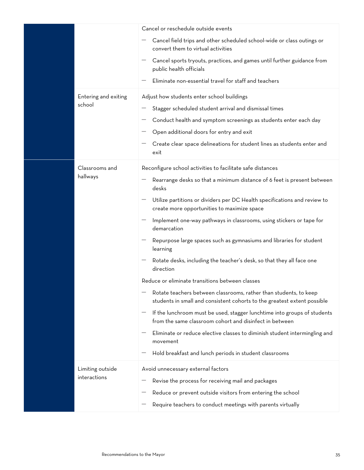|                      | Cancel or reschedule outside events                                                                                                                             |
|----------------------|-----------------------------------------------------------------------------------------------------------------------------------------------------------------|
|                      | Cancel field trips and other scheduled school-wide or class outings or<br>convert them to virtual activities                                                    |
|                      | Cancel sports tryouts, practices, and games until further guidance from<br>public health officials                                                              |
|                      | Eliminate non-essential travel for staff and teachers                                                                                                           |
| Entering and exiting | Adjust how students enter school buildings                                                                                                                      |
| school               | Stagger scheduled student arrival and dismissal times                                                                                                           |
|                      | Conduct health and symptom screenings as students enter each day                                                                                                |
|                      | Open additional doors for entry and exit                                                                                                                        |
|                      | Create clear space delineations for student lines as students enter and<br>exit                                                                                 |
| Classrooms and       | Reconfigure school activities to facilitate safe distances                                                                                                      |
| hallways             | Rearrange desks so that a minimum distance of 6 feet is present between<br>desks                                                                                |
|                      | Utilize partitions or dividers per DC Health specifications and review to<br>create more opportunities to maximize space                                        |
|                      | Implement one-way pathways in classrooms, using stickers or tape for<br>demarcation                                                                             |
|                      | Repurpose large spaces such as gymnasiums and libraries for student<br>learning                                                                                 |
|                      | Rotate desks, including the teacher's desk, so that they all face one<br>direction                                                                              |
|                      | Reduce or eliminate transitions between classes                                                                                                                 |
|                      | Rotate teachers between classrooms, rather than students, to keep<br>students in small and consistent cohorts to the greatest extent possible                   |
|                      | If the lunchroom must be used, stagger lunchtime into groups of students<br>$\overline{\phantom{0}}$<br>from the same classroom cohort and disinfect in between |
|                      | Eliminate or reduce elective classes to diminish student intermingling and<br>movement                                                                          |
|                      | Hold breakfast and lunch periods in student classrooms                                                                                                          |
| Limiting outside     | Avoid unnecessary external factors                                                                                                                              |
| interactions         | Revise the process for receiving mail and packages                                                                                                              |
|                      | Reduce or prevent outside visitors from entering the school                                                                                                     |
|                      | Require teachers to conduct meetings with parents virtually                                                                                                     |
|                      |                                                                                                                                                                 |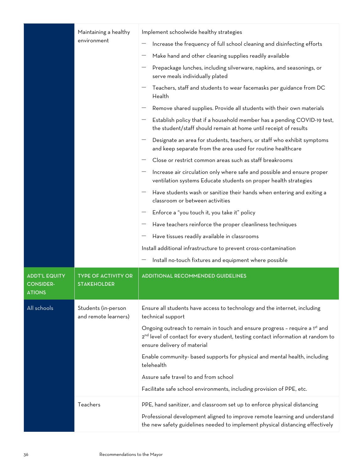|                                                           | Maintaining a healthy<br>environment             | Implement schoolwide healthy strategies<br>Increase the frequency of full school cleaning and disinfecting efforts<br>Make hand and other cleaning supplies readily available<br>Prepackage lunches, including silverware, napkins, and seasonings, or<br>serve meals individually plated<br>Teachers, staff and students to wear facemasks per guidance from DC<br>Health<br>Remove shared supplies. Provide all students with their own materials<br>Establish policy that if a household member has a pending COVID-19 test,<br>the student/staff should remain at home until receipt of results<br>Designate an area for students, teachers, or staff who exhibit symptoms<br>and keep separate from the area used for routine healthcare<br>Close or restrict common areas such as staff breakrooms |
|-----------------------------------------------------------|--------------------------------------------------|----------------------------------------------------------------------------------------------------------------------------------------------------------------------------------------------------------------------------------------------------------------------------------------------------------------------------------------------------------------------------------------------------------------------------------------------------------------------------------------------------------------------------------------------------------------------------------------------------------------------------------------------------------------------------------------------------------------------------------------------------------------------------------------------------------|
|                                                           |                                                  | Increase air circulation only where safe and possible and ensure proper<br>ventilation systems Educate students on proper health strategies<br>Have students wash or sanitize their hands when entering and exiting a<br>classroom or between activities<br>Enforce a "you touch it, you take it" policy<br>Have teachers reinforce the proper cleanliness techniques<br>Have tissues readily available in classrooms<br>Install additional infrastructure to prevent cross-contamination<br>Install no-touch fixtures and equipment where possible                                                                                                                                                                                                                                                      |
| <b>ADDT'L EQUITY</b><br><b>CONSIDER-</b><br><b>ATIONS</b> | <b>TYPE OF ACTIVITY OR</b><br><b>STAKEHOLDER</b> | <b>ADDITIONAL RECOMMENDED GUIDELINES</b>                                                                                                                                                                                                                                                                                                                                                                                                                                                                                                                                                                                                                                                                                                                                                                 |
| All schools                                               | Students (in-person<br>and remote learners)      | Ensure all students have access to technology and the internet, including<br>technical support<br>Ongoing outreach to remain in touch and ensure progress - require a 1st and<br>2 <sup>nd</sup> level of contact for every student, testing contact information at random to<br>ensure delivery of material<br>Enable community- based supports for physical and mental health, including<br>telehealth<br>Assure safe travel to and from school<br>Facilitate safe school environments, including provision of PPE, etc.                                                                                                                                                                                                                                                                               |
|                                                           | Teachers                                         | PPE, hand sanitizer, and classroom set up to enforce physical distancing<br>Professional development aligned to improve remote learning and understand<br>the new safety guidelines needed to implement physical distancing effectively                                                                                                                                                                                                                                                                                                                                                                                                                                                                                                                                                                  |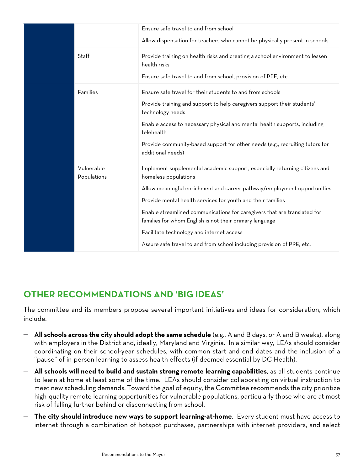|                           | Ensure safe travel to and from school                                                                                               |
|---------------------------|-------------------------------------------------------------------------------------------------------------------------------------|
|                           | Allow dispensation for teachers who cannot be physically present in schools                                                         |
| Staff                     | Provide training on health risks and creating a school environment to lessen<br>health risks                                        |
|                           | Ensure safe travel to and from school, provision of PPE, etc.                                                                       |
| Families                  | Ensure safe travel for their students to and from schools                                                                           |
|                           | Provide training and support to help caregivers support their students'<br>technology needs                                         |
|                           | Enable access to necessary physical and mental health supports, including<br>telehealth                                             |
|                           | Provide community-based support for other needs (e.g., recruiting tutors for<br>additional needs)                                   |
| Vulnerable<br>Populations | Implement supplemental academic support, especially returning citizens and<br>homeless populations                                  |
|                           | Allow meaningful enrichment and career pathway/employment opportunities                                                             |
|                           | Provide mental health services for youth and their families                                                                         |
|                           | Enable streamlined communications for caregivers that are translated for<br>families for whom English is not their primary language |
|                           | Facilitate technology and internet access                                                                                           |
|                           | Assure safe travel to and from school including provision of PPE, etc.                                                              |
|                           |                                                                                                                                     |

### **OTHER RECOMMENDATIONS AND 'BIG IDEAS'**

The committee and its members propose several important initiatives and ideas for consideration, which include:

- **All schools across the city should adopt the same schedule** (e.g., A and B days, or A and B weeks), along with employers in the District and, ideally, Maryland and Virginia. In a similar way, LEAs should consider coordinating on their school-year schedules, with common start and end dates and the inclusion of a "pause" of in-person learning to assess health effects (if deemed essential by DC Health).
- **All schools will need to build and sustain strong remote learning capabilities**, as all students continue to learn at home at least some of the time. LEAs should consider collaborating on virtual instruction to meet new scheduling demands. Toward the goal of equity, the Committee recommends the city prioritize high-quality remote learning opportunities for vulnerable populations, particularly those who are at most risk of falling further behind or disconnecting from school.
- **The city should introduce new ways to support learning-at-home**. Every student must have access to internet through a combination of hotspot purchases, partnerships with internet providers, and select